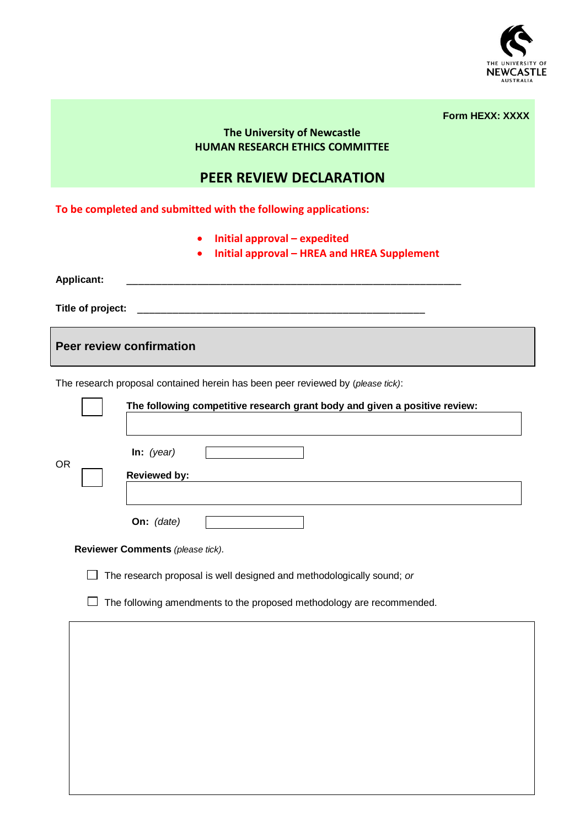

|          | <b>Form HEXX: XXXX</b> |
|----------|------------------------|
| wcastle: |                        |

## **The University of Ne HUMAN RESEARCH ETHICS COMMITTEE**

## **PEER REVIEW DECLARATION**

**To be completed and submitted with the following applications:** 

- **Initial approval – expedited**
- **Initial approval – HREA and HREA Supplement**

**Applicant:** \_\_\_\_\_\_\_\_\_\_\_\_\_\_\_\_\_\_\_\_\_\_\_\_\_\_\_\_\_\_\_\_\_\_\_\_\_\_\_\_\_\_\_\_\_\_\_\_\_\_\_\_\_\_\_\_\_

**Title of project:** \_\_\_\_\_\_\_\_\_\_\_\_\_\_\_\_\_\_\_\_\_\_\_\_\_\_\_\_\_\_\_\_\_\_\_\_\_\_\_\_\_\_\_\_\_\_\_\_\_

**Peer review confirmation**

The research proposal contained herein has been peer reviewed by (*please tick)*:

|           |                                                                       | The following competitive research grant body and given a positive review: |  |  |  |  |  |  |
|-----------|-----------------------------------------------------------------------|----------------------------------------------------------------------------|--|--|--|--|--|--|
| <b>OR</b> |                                                                       | In: $(year)$<br><b>Reviewed by:</b>                                        |  |  |  |  |  |  |
|           |                                                                       | On: (date)                                                                 |  |  |  |  |  |  |
|           |                                                                       | Reviewer Comments (please tick).                                           |  |  |  |  |  |  |
|           | The research proposal is well designed and methodologically sound; or |                                                                            |  |  |  |  |  |  |
|           | The following amendments to the proposed methodology are recommended. |                                                                            |  |  |  |  |  |  |
|           |                                                                       |                                                                            |  |  |  |  |  |  |
|           |                                                                       |                                                                            |  |  |  |  |  |  |
|           |                                                                       |                                                                            |  |  |  |  |  |  |
|           |                                                                       |                                                                            |  |  |  |  |  |  |
|           |                                                                       |                                                                            |  |  |  |  |  |  |